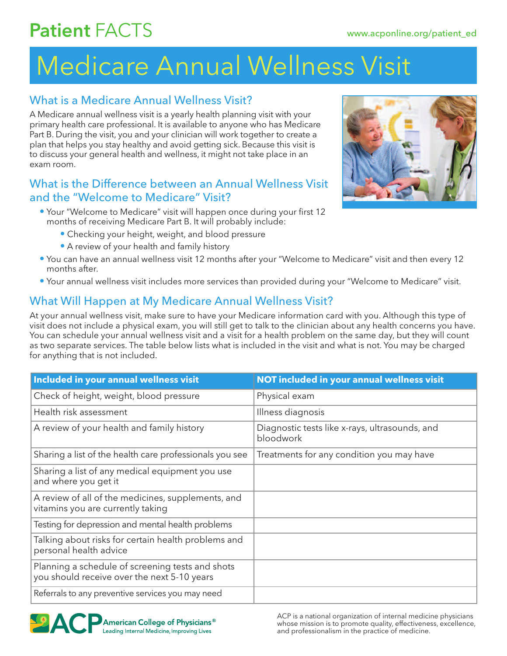## Patient FACTS

# Medicare Annual Wellness Visit

### What is a Medicare Annual Wellness Visit?

A Medicare annual wellness visit is a yearly health planning visit with your primary health care professional. It is available to anyone who has Medicare Part B. During the visit, you and your clinician will work together to create a plan that helps you stay healthy and avoid getting sick. Because this visit is to discuss your general health and wellness, it might not take place in an exam room.

### What is the Difference between an Annual Wellness Visit and the "Welcome to Medicare" Visit?

- Your "Welcome to Medicare" visit will happen once during your first 12 months of receiving Medicare Part B. It will probably include:
	- Checking your height, weight, and blood pressure
	- A review of your health and family history
- You can have an annual wellness visit 12 months after your "Welcome to Medicare" visit and then every 12 months after.
- Your annual wellness visit includes more services than provided during your "Welcome to Medicare" visit.

### What Will Happen at My Medicare Annual Wellness Visit?

At your annual wellness visit, make sure to have your Medicare information card with you. Although this type of visit does not include a physical exam, you will still get to talk to the clinician about any health concerns you have. You can schedule your annual wellness visit and a visit for a health problem on the same day, but they will count as two separate services. The table below lists what is included in the visit and what is not. You may be charged for anything that is not included.

| Included in your annual wellness visit                                                          | NOT included in your annual wellness visit                  |
|-------------------------------------------------------------------------------------------------|-------------------------------------------------------------|
| Check of height, weight, blood pressure                                                         | Physical exam                                               |
| Health risk assessment                                                                          | Illness diagnosis                                           |
| A review of your health and family history                                                      | Diagnostic tests like x-rays, ultrasounds, and<br>bloodwork |
| Sharing a list of the health care professionals you see                                         | Treatments for any condition you may have                   |
| Sharing a list of any medical equipment you use<br>and where you get it                         |                                                             |
| A review of all of the medicines, supplements, and<br>vitamins you are currently taking         |                                                             |
| Testing for depression and mental health problems                                               |                                                             |
| Talking about risks for certain health problems and<br>personal health advice                   |                                                             |
| Planning a schedule of screening tests and shots<br>you should receive over the next 5-10 years |                                                             |
| Referrals to any preventive services you may need                                               |                                                             |



ACP is a national organization of internal medicine physicians whose mission is to promote quality, effectiveness, excellence, and professionalism in the practice of medicine.